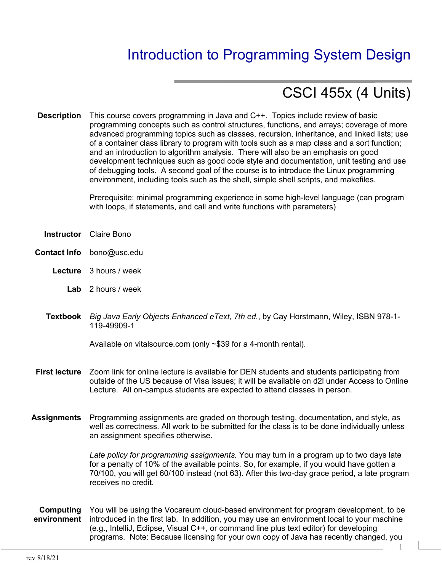# Introduction to Programming System Design

# CSCI 455x (4 Units)

**Description** This course covers programming in Java and C++. Topics include review of basic programming concepts such as control structures, functions, and arrays; coverage of more advanced programming topics such as classes, recursion, inheritance, and linked lists; use of a container class library to program with tools such as a map class and a sort function; and an introduction to algorithm analysis. There will also be an emphasis on good development techniques such as good code style and documentation, unit testing and use of debugging tools. A second goal of the course is to introduce the Linux programming environment, including tools such as the shell, simple shell scripts, and makefiles.

> Prerequisite: minimal programming experience in some high-level language (can program with loops, if statements, and call and write functions with parameters)

- **Instructor** Claire Bono
- **Contact Info** bono@usc.edu
	- **Lecture** 3 hours / week
		- **Lab** 2 hours / week
	- **Textbook** *Big Java Early Objects Enhanced eText, 7th ed.*, by Cay Horstmann, Wiley, ISBN 978-1- 119-49909-1

Available on vitalsource.com (only ~\$39 for a 4-month rental).

- **First lecture** Zoom link for online lecture is available for DEN students and students participating from outside of the US because of Visa issues; it will be available on d2l under Access to Online Lecture. All on-campus students are expected to attend classes in person.
- **Assignments** Programming assignments are graded on thorough testing, documentation, and style, as well as correctness. All work to be submitted for the class is to be done individually unless an assignment specifies otherwise.

*Late policy for programming assignments.* You may turn in a program up to two days late for a penalty of 10% of the available points. So, for example, if you would have gotten a 70/100, you will get 60/100 instead (not 63). After this two-day grace period, a late program receives no credit.

**Computing environment** You will be using the Vocareum cloud-based environment for program development, to be introduced in the first lab. In addition, you may use an environment local to your machine (e.g., IntelliJ, Eclipse, Visual C++, or command line plus text editor) for developing programs. Note: Because licensing for your own copy of Java has recently changed, you

1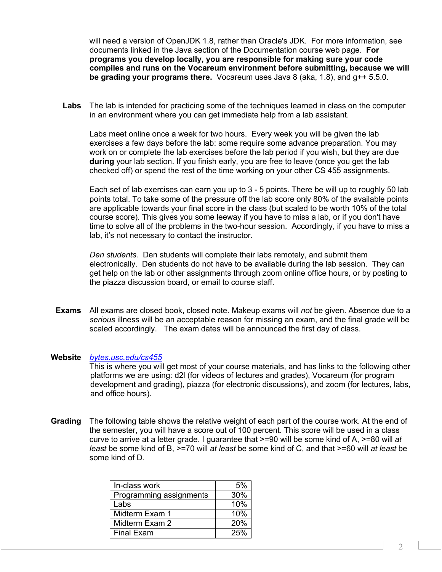will need a version of OpenJDK 1.8, rather than Oracle's JDK. For more information, see documents linked in the Java section of the Documentation course web page. **For programs you develop locally, you are responsible for making sure your code compiles and runs on the Vocareum environment before submitting, because we will be grading your programs there.** Vocareum uses Java 8 (aka, 1.8), and g++ 5.5.0.

**Labs** The lab is intended for practicing some of the techniques learned in class on the computer in an environment where you can get immediate help from a lab assistant.

Labs meet online once a week for two hours. Every week you will be given the lab exercises a few days before the lab: some require some advance preparation. You may work on or complete the lab exercises before the lab period if you wish, but they are due **during** your lab section. If you finish early, you are free to leave (once you get the lab checked off) or spend the rest of the time working on your other CS 455 assignments.

Each set of lab exercises can earn you up to 3 - 5 points. There be will up to roughly 50 lab points total. To take some of the pressure off the lab score only 80% of the available points are applicable towards your final score in the class (but scaled to be worth 10% of the total course score). This gives you some leeway if you have to miss a lab, or if you don't have time to solve all of the problems in the two-hour session. Accordingly, if you have to miss a lab, it's not necessary to contact the instructor.

*Den students.* Den students will complete their labs remotely, and submit them electronically. Den students do not have to be available during the lab session. They can get help on the lab or other assignments through zoom online office hours, or by posting to the piazza discussion board, or email to course staff.

**Exams** All exams are closed book, closed note. Makeup exams will *not* be given. Absence due to a *serious* illness will be an acceptable reason for missing an exam, and the final grade will be scaled accordingly. The exam dates will be announced the first day of class.

#### **Website** *bytes.usc.edu/cs455*

This is where you will get most of your course materials, and has links to the following other platforms we are using: d2l (for videos of lectures and grades), Vocareum (for program development and grading), piazza (for electronic discussions), and zoom (for lectures, labs, and office hours).

**Grading** The following table shows the relative weight of each part of the course work. At the end of the semester, you will have a score out of 100 percent. This score will be used in a class curve to arrive at a letter grade. I guarantee that >=90 will be some kind of A, >=80 will *at least* be some kind of B, >=70 will *at least* be some kind of C, and that >=60 will *at least* be some kind of D.

| In-class work           | 5%  |
|-------------------------|-----|
| Programming assignments | 30% |
| Labs                    | 10% |
| Midterm Exam 1          | 10% |
| Midterm Exam 2          | 20% |
| <b>Final Exam</b>       | 25% |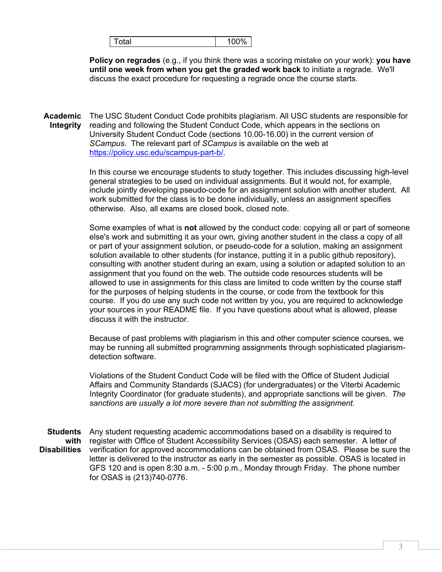| 100%<br>™otal |
|---------------|
|---------------|

**Policy on regrades** (e.g., if you think there was a scoring mistake on your work): **you have until one week from when you get the graded work back** to initiate a regrade. We'll discuss the exact procedure for requesting a regrade once the course starts.

**Academic Integrity** The USC Student Conduct Code prohibits plagiarism. All USC students are responsible for reading and following the Student Conduct Code, which appears in the sections on University Student Conduct Code (sections 10.00-16.00) in the current version of *SCampus*. The relevant part of *SCampus* is available on the web at https://policy.usc.edu/scampus-part-b/.

> In this course we encourage students to study together. This includes discussing high-level general strategies to be used on individual assignments. But it would not, for example, include jointly developing pseudo-code for an assignment solution with another student. All work submitted for the class is to be done individually, unless an assignment specifies otherwise. Also, all exams are closed book, closed note.

> Some examples of what is **not** allowed by the conduct code: copying all or part of someone else's work and submitting it as your own, giving another student in the class a copy of all or part of your assignment solution, or pseudo-code for a solution, making an assignment solution available to other students (for instance, putting it in a public github repository), consulting with another student during an exam, using a solution or adapted solution to an assignment that you found on the web. The outside code resources students will be allowed to use in assignments for this class are limited to code written by the course staff for the purposes of helping students in the course, or code from the textbook for this course. If you do use any such code not written by you, you are required to acknowledge your sources in your README file. If you have questions about what is allowed, please discuss it with the instructor.

Because of past problems with plagiarism in this and other computer science courses, we may be running all submitted programming assignments through sophisticated plagiarismdetection software.

Violations of the Student Conduct Code will be filed with the Office of Student Judicial Affairs and Community Standards (SJACS) (for undergraduates) or the Viterbi Academic Integrity Coordinator (for graduate students), and appropriate sanctions will be given. *The sanctions are usually a lot more severe than not submitting the assignment.* 

Students Any student requesting academic accommodations based on a disability is required to **with**  register with Office of Student Accessibility Services (OSAS) each semester. A letter of **Disabilities** verification for approved accommodations can be obtained from OSAS. Please be sure the letter is delivered to the instructor as early in the semester as possible. OSAS is located in GFS 120 and is open 8:30 a.m. - 5:00 p.m., Monday through Friday. The phone number for OSAS is (213)740-0776.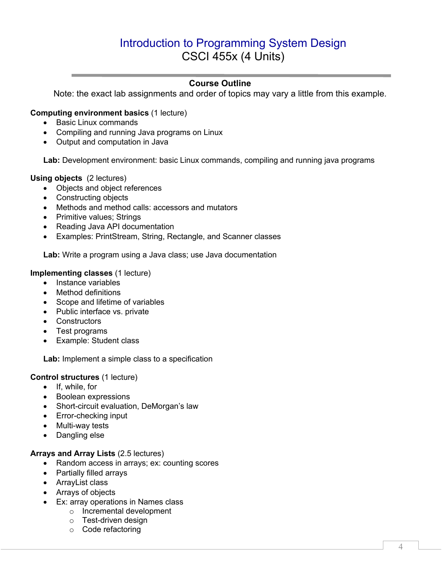# Introduction to Programming System Design CSCI 455x (4 Units)

# **Course Outline**

Note: the exact lab assignments and order of topics may vary a little from this example.

# **Computing environment basics** (1 lecture)

- Basic Linux commands
- Compiling and running Java programs on Linux
- Output and computation in Java

**Lab:** Development environment: basic Linux commands, compiling and running java programs

#### **Using objects** (2 lectures)

- Objects and object references
- Constructing objects
- Methods and method calls: accessors and mutators
- Primitive values; Strings
- Reading Java API documentation
- Examples: PrintStream, String, Rectangle, and Scanner classes

**Lab:** Write a program using a Java class; use Java documentation

#### **Implementing classes** (1 lecture)

- Instance variables
- Method definitions
- Scope and lifetime of variables
- Public interface vs. private
- Constructors
- Test programs
- Example: Student class

Lab: Implement a simple class to a specification

#### **Control structures** (1 lecture)

- If, while, for
- Boolean expressions
- Short-circuit evaluation, DeMorgan's law
- Error-checking input
- Multi-way tests
- Dangling else

#### **Arrays and Array Lists** (2.5 lectures)

- Random access in arrays; ex: counting scores
- Partially filled arrays
- ArrayList class
- Arrays of objects
- Ex: array operations in Names class
	- o Incremental development
	- o Test-driven design
	- o Code refactoring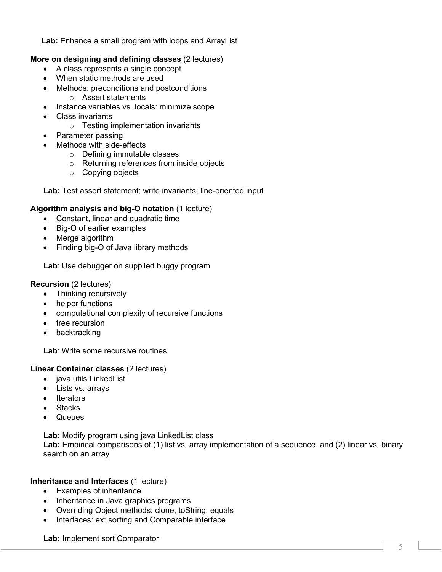**Lab:** Enhance a small program with loops and ArrayList

# **More on designing and defining classes** (2 lectures)

- A class represents a single concept
- When static methods are used
- Methods: preconditions and postconditions
	- o Assert statements
- Instance variables vs. locals: minimize scope
- Class invariants
	- o Testing implementation invariants
- Parameter passing
- Methods with side-effects
	- o Defining immutable classes
	- o Returning references from inside objects
	- o Copying objects

Lab: Test assert statement; write invariants; line-oriented input

# **Algorithm analysis and big-O notation** (1 lecture)

- Constant, linear and quadratic time
- Big-O of earlier examples
- Merge algorithm
- Finding big-O of Java library methods

**Lab**: Use debugger on supplied buggy program

#### **Recursion** (2 lectures)

- Thinking recursively
- helper functions
- computational complexity of recursive functions
- tree recursion
- backtracking

**Lab**: Write some recursive routines

#### **Linear Container classes** (2 lectures)

- java.utils LinkedList
- Lists vs. arrays
- Iterators
- Stacks
- Queues

**Lab:** Modify program using java LinkedList class

Lab: Empirical comparisons of (1) list vs. array implementation of a sequence, and (2) linear vs. binary search on an array

#### **Inheritance and Interfaces** (1 lecture)

- Examples of inheritance
- Inheritance in Java graphics programs
- Overriding Object methods: clone, toString, equals
- Interfaces: ex: sorting and Comparable interface

**Lab:** Implement sort Comparator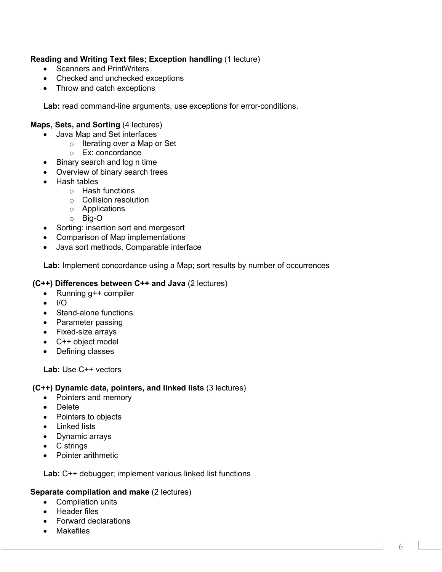# **Reading and Writing Text files; Exception handling** (1 lecture)

- Scanners and PrintWriters
- Checked and unchecked exceptions
- Throw and catch exceptions

Lab: read command-line arguments, use exceptions for error-conditions.

### **Maps, Sets, and Sorting** (4 lectures)

- Java Map and Set interfaces
	- o Iterating over a Map or Set
	- o Ex: concordance
- Binary search and log n time
- Overview of binary search trees
- Hash tables
	- o Hash functions
	- o Collision resolution
	- o Applications
	- o Big-O
- Sorting: insertion sort and mergesort
- Comparison of Map implementations
- Java sort methods, Comparable interface

**Lab:** Implement concordance using a Map; sort results by number of occurrences

#### **(C++) Differences between C++ and Java** (2 lectures)

- Running g++ compiler
- $\bullet$  I/O
- Stand-alone functions
- Parameter passing
- Fixed-size arrays
- C++ object model
- Defining classes

**Lab:** Use C++ vectors

#### **(C++) Dynamic data, pointers, and linked lists** (3 lectures)

- Pointers and memory
- Delete
- Pointers to objects
- Linked lists
- Dynamic arrays
- C strings
- Pointer arithmetic

**Lab:** C++ debugger; implement various linked list functions

#### **Separate compilation and make** (2 lectures)

- Compilation units
- Header files
- Forward declarations
- Makefiles